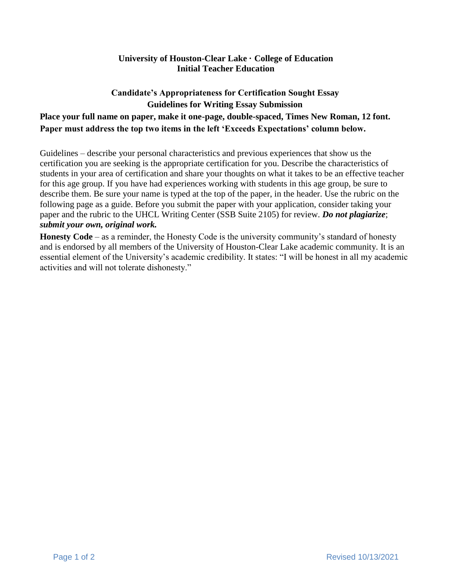## **University of Houston-Clear Lake · College of Education Initial Teacher Education**

## **Candidate's Appropriateness for Certification Sought Essay Guidelines for Writing Essay Submission Place your full name on paper, make it one-page, double-spaced, Times New Roman, 12 font. Paper must address the top two items in the left 'Exceeds Expectations' column below.**

Guidelines – describe your personal characteristics and previous experiences that show us the certification you are seeking is the appropriate certification for you. Describe the characteristics of students in your area of certification and share your thoughts on what it takes to be an effective teacher for this age group. If you have had experiences working with students in this age group, be sure to describe them. Be sure your name is typed at the top of the paper, in the header. Use the rubric on the following page as a guide. Before you submit the paper with your application, consider taking your paper and the rubric to the UHCL Writing Center (SSB Suite 2105) for review. *Do not plagiarize*; *submit your own, original work.*

**Honesty Code** – as a reminder, the Honesty Code is the university community's standard of honesty and is endorsed by all members of the University of Houston-Clear Lake academic community. It is an essential element of the University's academic credibility. It states: "I will be honest in all my academic activities and will not tolerate dishonesty."